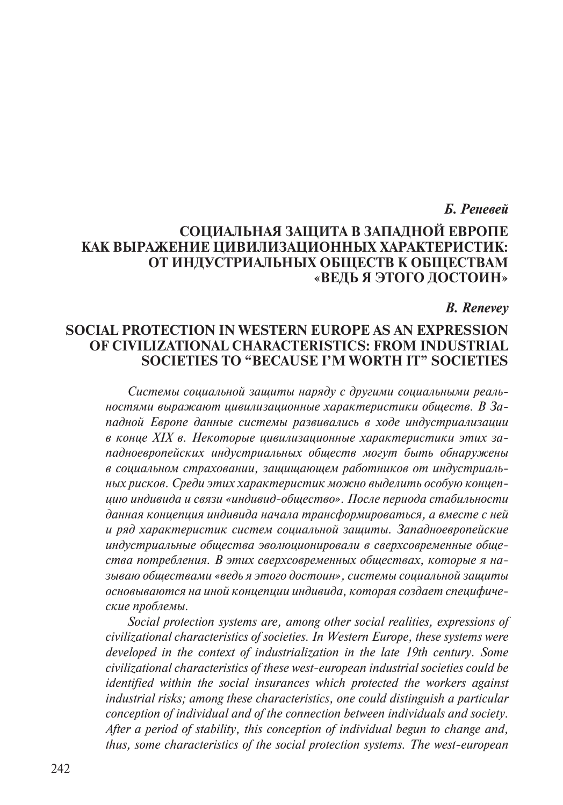### Б. Реневей

# СОЦИАЛЬНАЯ ЗАШИТА В ЗАПАЛНОЙ ЕВРОПЕ КАК ВЫРАЖЕНИЕ ЦИВИЛИЗАЦИОННЫХ ХАРАКТЕРИСТИК: ОТ ИНДУСТРИАЛЬНЫХ ОБЩЕСТВ К ОБЩЕСТВАМ «ВЕДЬ Я ЭТОГО ДОСТОИН»

#### **B.** Renevey

# **SOCIAL PROTECTION IN WESTERN EUROPE AS AN EXPRESSION** OF CIVILIZATIONAL CHARACTERISTICS: FROM INDUSTRIAL **SOCIETIES TO "BECAUSE I'M WORTH IT" SOCIETIES**

Системы социальной защиты наряду с другими социальными реальностями выражают цивилизационные характеристики обществ. В Западной Европе данные системы развивались в ходе индустриализации в конце XIX в. Некоторые цивилизационные характеристики этих западноевропейских индустриальных обществ могут быть обнаружены в социальном страховании, защищающем работников от индустриальных рисков. Среди этих характеристик можно выделить особую концепцию индивида и связи «индивид-общество». После периода стабильности данная концепция индивида начала трансформироваться, а вместе с ней и ряд характеристик систем социальной защиты. Западноевропейские индустриальные общества эволюционировали в сверхсовременные общества потребления. В этих сверхсовременных обществах, которые я называю обществами «ведь я этого достоин», системы социальной защиты основываются на иной концепции индивида, которая создает специфические проблемы.

Social protection systems are, among other social realities, expressions of civilizational characteristics of societies. In Western Europe, these systems were developed in the context of industrialization in the late 19th century. Some civilizational characteristics of these west-european industrial societies could be identified within the social insurances which protected the workers against industrial risks; among these characteristics, one could distinguish a particular conception of individual and of the connection between individuals and society. After a period of stability, this conception of individual begun to change and, thus, some characteristics of the social protection systems. The west-european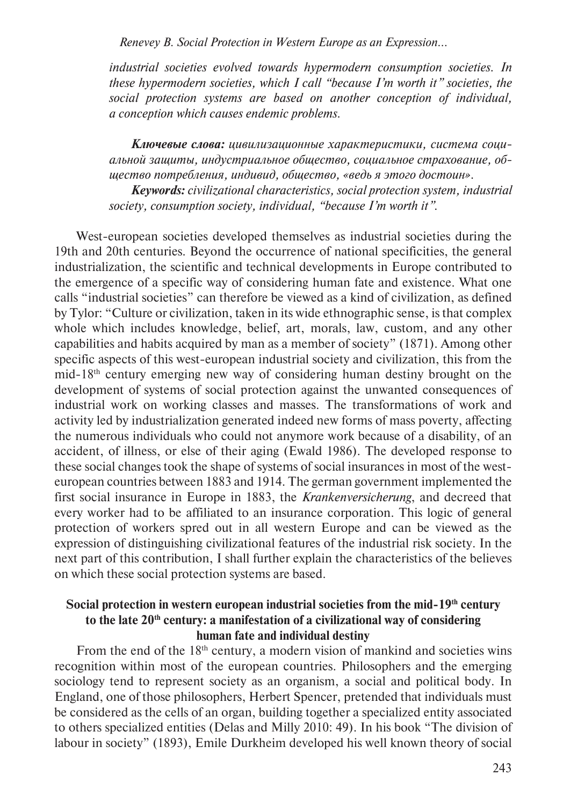*Renevey B. Social Protection in Western Europe as an Expression...*

*industrial societies evolved towards hypermodern consumption societies. In these hypermodern societies, which I call "because I'm worth it" societies, the social protection systems are based on another conception of individual, a conception which causes endemic problems.*

*Ключевые слова: цивилизационные характеристики, система социальной защиты, индустриальное общество, социальное страхование, общество потребления, индивид, общество, «ведь я этого достоин».*

*Keywords: civilizational characteristics, social protection system, industrial society, consumption society, individual, "because I'm worth it".*

West-european societies developed themselves as industrial societies during the 19th and 20th centuries. Beyond the occurrence of national specificities, the general industrialization, the scientific and technical developments in Europe contributed to the emergence of a specific way of considering human fate and existence. What one calls "industrial societies" can therefore be viewed as a kind of civilization, as defined by Tylor: "Culture or civilization, taken in its wide ethnographic sense, is that complex whole which includes knowledge, belief, art, morals, law, custom, and any other capabilities and habits acquired by man as a member of society" (1871). Among other specific aspects of this west-european industrial society and civilization, this from the mid-18th century emerging new way of considering human destiny brought on the development of systems of social protection against the unwanted consequences of industrial work on working classes and masses. The transformations of work and activity led by industrialization generated indeed new forms of mass poverty, affecting the numerous individuals who could not anymore work because of a disability, of an accident, of illness, or else of their aging (Ewald 1986). The developed response to these social changes took the shape of systems of social insurances in most of the westeuropean countries between 1883 and 1914. The german government implemented the first social insurance in Europe in 1883, the *Krankenversicherung*, and decreed that every worker had to be affiliated to an insurance corporation. This logic of general protection of workers spred out in all western Europe and can be viewed as the expression of distinguishing civilizational features of the industrial risk society. In the next part of this contribution, I shall further explain the characteristics of the believes on which these social protection systems are based.

## Social protection in western european industrial societies from the mid-19<sup>th</sup> century to the late 20<sup>th</sup> century: a manifestation of a civilizational way of considering **human fate and individual destiny**

From the end of the 18<sup>th</sup> century, a modern vision of mankind and societies wins recognition within most of the european countries. Philosophers and the emerging sociology tend to represent society as an organism, a social and political body. In England, one of those philosophers, Herbert Spencer, pretended that individuals must be considered as the cells of an organ, building together a specialized entity associated to others specialized entities (Delas and Milly 2010: 49). In his book "The division of labour in society" (1893), Emile Durkheim developed his well known theory of social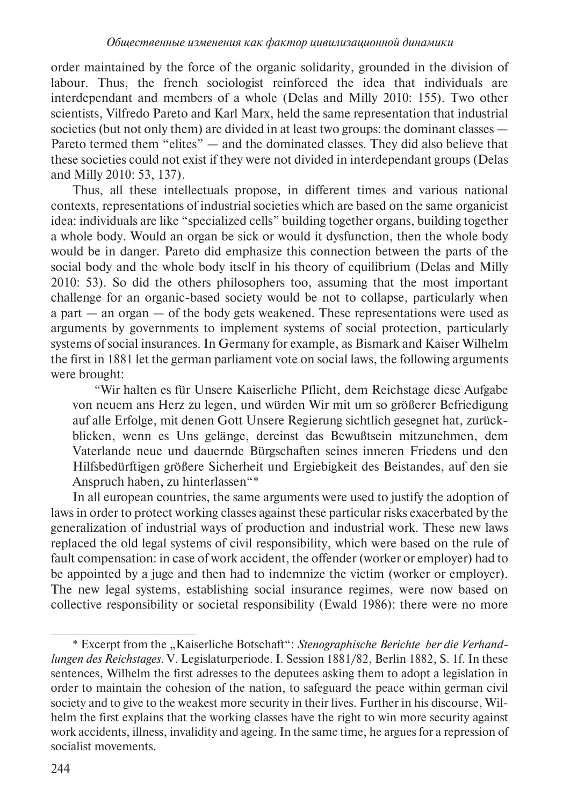order maintained by the force of the organic solidarity, grounded in the division of labour. Thus, the french sociologist reinforced the idea that individuals are interdependant and members of a whole (Delas and Milly 2010: 155). Two other scientists, Vilfredo Pareto and Karl Marx, held the same representation that industrial societies (but not only them) are divided in at least two groups: the dominant classes — Pareto termed them "elites" — and the dominated classes. They did also believe that these societies could not exist if they were not divided in interdependant groups (Delas and Milly 2010: 53, 137).

Thus, all these intellectuals propose, in different times and various national contexts, representations of industrial societies which are based on the same organicist idea: individuals are like "specialized cells" building together organs, building together a whole body. Would an organ be sick or would it dysfunction, then the whole body would be in danger. Pareto did emphasize this connection between the parts of the social body and the whole body itself in his theory of equilibrium (Delas and Milly 2010: 53). So did the others philosophers too, assuming that the most important challenge for an organic-based society would be not to collapse, particularly when a part  $-$  an organ  $-$  of the body gets weakened. These representations were used as arguments by governments to implement systems of social protection, particularly systems of social insurances. In Germany for example, as Bismark and Kaiser Wilhelm the first in 1881 let the german parliament vote on social laws, the following arguments were brought:

"Wir halten es für Unsere Kaiserliche Pflicht, dem Reichstage diese Aufgabe von neuem ans Herz zu legen, und würden Wir mit um so größerer Befriedigung auf alle Erfolge, mit denen Gott Unsere Regierung sichtlich gesegnet hat, zurückblicken, wenn es Uns gelänge, dereinst das Bewußtsein mitzunehmen, dem Vaterlande neue und dauernde Bürgschaften seines inneren Friedens und den Hilfsbedürftigen größere Sicherheit und Ergiebigkeit des Beistandes, auf den sie Anspruch haben, zu hinterlassen"\*

In all european countries, the same arguments were used to justify the adoption of laws in order to protect working classes against these particular risks exacerbated by the generalization of industrial ways of production and industrial work. These new laws replaced the old legal systems of civil responsibility, which were based on the rule of fault compensation: in case of work accident, the offender (worker or employer) had to be appointed by a juge and then had to indemnize the victim (worker or employer). The new legal systems, establishing social insurance regimes, were now based on collective responsibility or societal responsibility (Ewald 1986): there were no more

<sup>\*</sup> Excerpt from the "Kaiserliche Botschaft": Stenographische Berichte ber die Verhandlungen des Reichstages. V. Legislaturperiode. I. Session 1881/82, Berlin 1882, S. 1f. In these sentences, Wilhelm the first adresses to the deputees asking them to adopt a legislation in order to maintain the cohesion of the nation, to safeguard the peace within german civil society and to give to the weakest more security in their lives. Further in his discourse, Wilhelm the first explains that the working classes have the right to win more security against work accidents, illness, invalidity and ageing. In the same time, he argues for a repression of socialist movements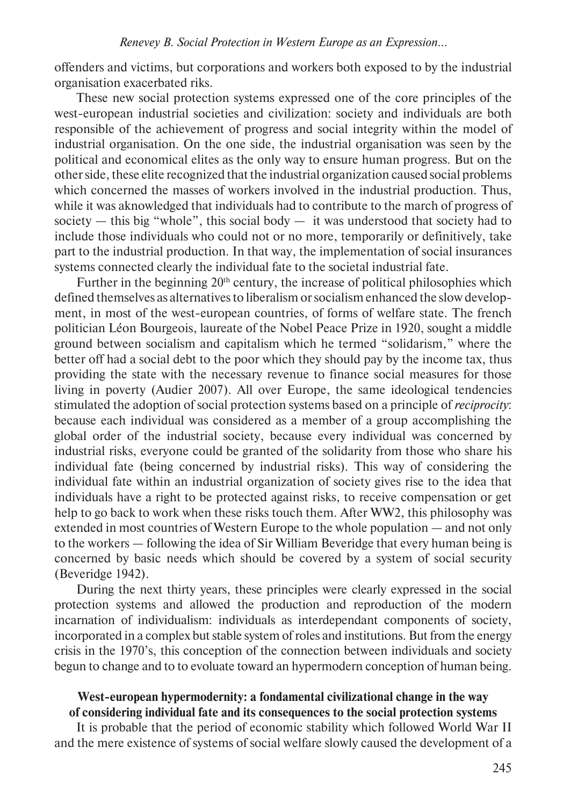offenders and victims, but corporations and workers both exposed to by the industrial organisation exacerbated riks.

These new social protection systems expressed one of the core principles of the west-european industrial societies and civilization: society and individuals are both responsible of the achievement of progress and social integrity within the model of industrial organisation. On the one side, the industrial organisation was seen by the political and economical elites as the only way to ensure human progress. But on the other side, these elite recognized that the industrial organization caused social problems which concerned the masses of workers involved in the industrial production. Thus, while it was aknowledged that individuals had to contribute to the march of progress of society  $-$  this big "whole", this social body  $-$  it was understood that society had to include those individuals who could not or no more, temporarily or definitively, take part to the industrial production. In that way, the implementation of social insurances systems connected clearly the individual fate to the societal industrial fate.

Further in the beginning  $20<sup>th</sup>$  century, the increase of political philosophies which defined themselves as alternatives to liberalism or socialism enhanced the slow development, in most of the west-european countries, of forms of welfare state. The french politician Lйon Bourgeois, laureate of the Nobel Peace Prize in 1920, sought a middle ground between socialism and capitalism which he termed "solidarism," where the better off had a social debt to the poor which they should pay by the income tax, thus providing the state with the necessary revenue to finance social measures for those living in poverty (Audier 2007). All over Europe, the same ideological tendencies stimulated the adoption of social protection systems based on a principle of *reciprocity*: because each individual was considered as a member of a group accomplishing the global order of the industrial society, because every individual was concerned by industrial risks, everyone could be granted of the solidarity from those who share his individual fate (being concerned by industrial risks). This way of considering the individual fate within an industrial organization of society gives rise to the idea that individuals have a right to be protected against risks, to receive compensation or get help to go back to work when these risks touch them. After WW2, this philosophy was extended in most countries of Western Europe to the whole population — and not only to the workers — following the idea of Sir William Beveridge that every human being is concerned by basic needs which should be covered by a system of social security (Beveridge 1942).

During the next thirty years, these principles were clearly expressed in the social protection systems and allowed the production and reproduction of the modern incarnation of individualism: individuals as interdependant components of society, incorporated in a complex but stable system of roles and institutions. But from the energy crisis in the 1970's, this conception of the connection between individuals and society begun to change and to to evoluate toward an hypermodern conception of human being.

## **West-european hypermodernity: a fondamental civilizational change in the way of considering individual fate and its consequences to the social protection systems**

It is probable that the period of economic stability which followed World War II and the mere existence of systems of social welfare slowly caused the development of a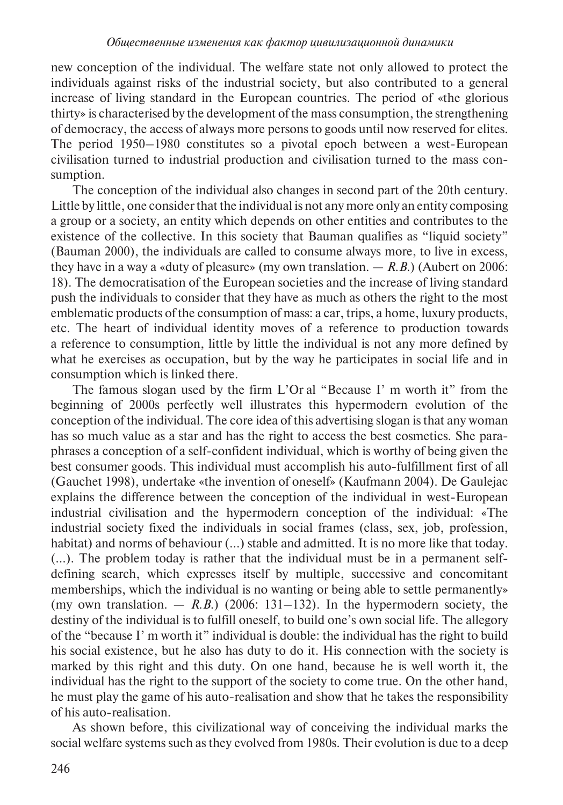new conception of the individual. The welfare state not only allowed to protect the individuals against risks of the industrial society, but also contributed to a general increase of living standard in the European countries. The period of «the glorious thirty» is characterised by the development of the mass consumption, the strengthening of democracy, the access of always more persons to goods until now reserved for elites. The period 1950–1980 constitutes so a pivotal epoch between a west-European civilisation turned to industrial production and civilisation turned to the mass consumption.

The conception of the individual also changes in second part of the 20th century. Little by little, one consider that the individual is not any more only an entity composing a group or a society, an entity which depends on other entities and contributes to the existence of the collective. In this society that Bauman qualifies as "liquid society" (Bauman 2000), the individuals are called to consume always more, to live in excess, they have in a way a «duty of pleasure» (my own translation.  $- R.B$ .) (Aubert on 2006: 18). The democratisation of the European societies and the increase of living standard push the individuals to consider that they have as much as others the right to the most emblematic products of the consumption of mass: a car, trips, a home, luxury products, etc. The heart of individual identity moves of a reference to production towards a reference to consumption, little by little the individual is not any more defined by what he exercises as occupation, but by the way he participates in social life and in consumption which is linked there.

The famous slogan used by the firm L'Or al "Because I' m worth it" from the beginning of 2000s perfectly well illustrates this hypermodern evolution of the conception of the individual. The core idea of this advertising slogan is that any woman has so much value as a star and has the right to access the best cosmetics. She paraphrases a conception of a self-confident individual, which is worthy of being given the best consumer goods. This individual must accomplish his auto-fulfillment first of all (Gauchet 1998), undertake «the invention of oneself» (Kaufmann 2004). De Gaulejac explains the difference between the conception of the individual in west-European industrial civilisation and the hypermodern conception of the individual: «The industrial society fixed the individuals in social frames (class, sex, job, profession, habitat) and norms of behaviour (...) stable and admitted. It is no more like that today. (…). The problem today is rather that the individual must be in a permanent selfdefining search, which expresses itself by multiple, successive and concomitant memberships, which the individual is no wanting or being able to settle permanently» (my own translation.  $-$  *R.B.*) (2006: 131–132). In the hypermodern society, the destiny of the individual is to fulfill oneself, to build one's own social life. The allegory of the "because I' m worth it" individual is double: the individual has the right to build his social existence, but he also has duty to do it. His connection with the society is marked by this right and this duty. On one hand, because he is well worth it, the individual has the right to the support of the society to come true. On the other hand, he must play the game of his auto-realisation and show that he takes the responsibility of his auto-realisation.

As shown before, this civilizational way of conceiving the individual marks the social welfare systems such as they evolved from 1980s. Their evolution is due to a deep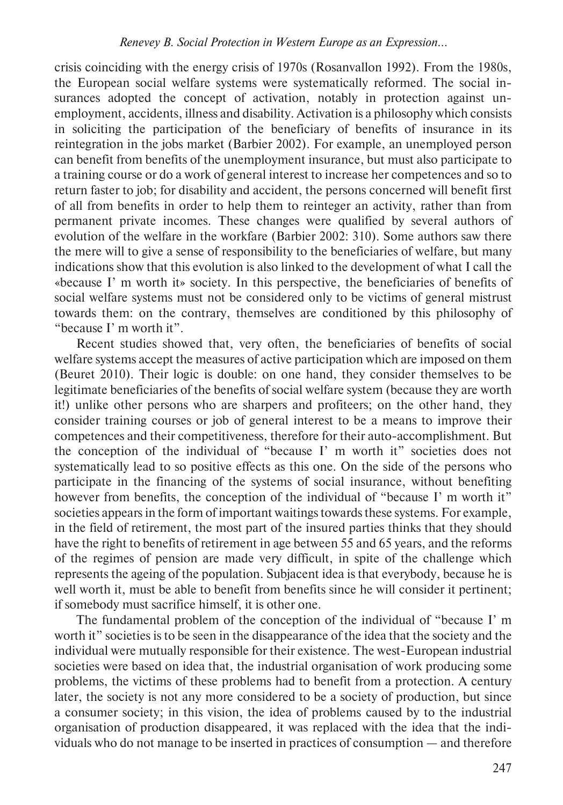crisis coinciding with the energy crisis of 1970s (Rosanvallon 1992). From the 1980s, the European social welfare systems were systematically reformed. The social insurances adopted the concept of activation, notably in protection against unemployment, accidents, illness and disability. Activation is a philosophy which consists in soliciting the participation of the beneficiary of benefits of insurance in its reintegration in the jobs market (Barbier 2002). For example, an unemployed person can benefit from benefits of the unemployment insurance, but must also participate to a training course or do a work of general interest to increase her competences and so to return faster to job; for disability and accident, the persons concerned will benefit first of all from benefits in order to help them to reinteger an activity, rather than from permanent private incomes. These changes were qualified by several authors of evolution of the welfare in the workfare (Barbier 2002: 310). Some authors saw there the mere will to give a sense of responsibility to the beneficiaries of welfare, but many indications show that this evolution is also linked to the development of what I call the «because I' m worth it» society. In this perspective, the beneficiaries of benefits of social welfare systems must not be considered only to be victims of general mistrust towards them: on the contrary, themselves are conditioned by this philosophy of "because I' m worth it".

Recent studies showed that, very often, the beneficiaries of benefits of social welfare systems accept the measures of active participation which are imposed on them (Beuret 2010). Their logic is double: on one hand, they consider themselves to be legitimate beneficiaries of the benefits of social welfare system (because they are worth it!) unlike other persons who are sharpers and profiteers; on the other hand, they consider training courses or job of general interest to be a means to improve their competences and their competitiveness, therefore for their auto-accomplishment. But the conception of the individual of "because I' m worth it" societies does not systematically lead to so positive effects as this one. On the side of the persons who participate in the financing of the systems of social insurance, without benefiting however from benefits, the conception of the individual of "because I' m worth it" societies appears in the form of important waitings towards these systems. For example, in the field of retirement, the most part of the insured parties thinks that they should have the right to benefits of retirement in age between 55 and 65 years, and the reforms of the regimes of pension are made very difficult, in spite of the challenge which represents the ageing of the population. Subjacent idea is that everybody, because he is well worth it, must be able to benefit from benefits since he will consider it pertinent; if somebody must sacrifice himself, it is other one.

The fundamental problem of the conception of the individual of "because I' m worth it" societies is to be seen in the disappearance of the idea that the society and the individual were mutually responsible for their existence. The west-European industrial societies were based on idea that, the industrial organisation of work producing some problems, the victims of these problems had to benefit from a protection. A century later, the society is not any more considered to be a society of production, but since a consumer society; in this vision, the idea of problems caused by to the industrial organisation of production disappeared, it was replaced with the idea that the individuals who do not manage to be inserted in practices of consumption — and therefore